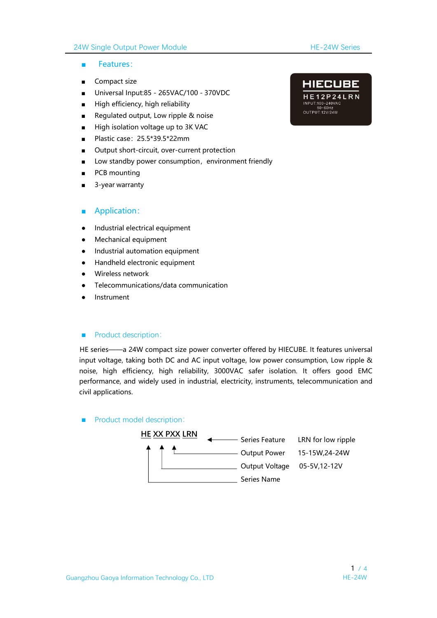#### 24W Single Output Power Module **HE-24W Series**

- Features:
- Compact size
- Universal Input:85 265VAC/100 370VDC<br>
HE12P24LRN
- High efficiency, high reliability
- High efficiency, high reliability<br>  **Regulated output, Low ripple & noise**<br>  **Regulated output, Low ripple & noise**
- High isolation voltage up to 3K VAC
- Plastic case: 25.5\*39.5\*22mm
- Output short-circuit, over-current protection
- Low standby power consumption, environment friendly
- PCB mounting
- 3-year warranty

#### ■ Application:

- Industrial electrical equipment
- Mechanical equipment
- Industrial automation equipment
- Handheld electronic equipment
- Wireless network
- Telecommunications/data communication
- **Instrument**

#### ■ Product description:

HE series——a 24W compact size power converter offered by HIECUBE. It features universal input voltage, taking both DC and AC input voltage, low power consumption, Low ripple & noise, high efficiency, high reliability, 3000VAC safer isolation. It offers good EMC performance, and widely used in industrial, electricity, instruments, telecommunication and civil applications.

■ Product model description:

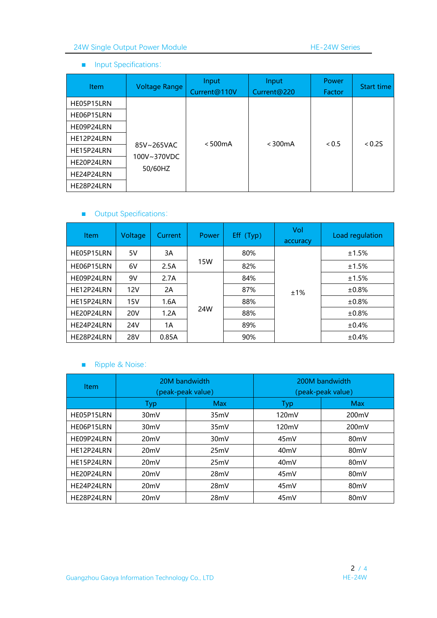### 24W Single Output Power Module HE-24W Series

#### ■ Input Specifications:

| <b>Item</b> | <b>Voltage Range</b>      | Input<br>Current@110V | Input<br>Current@220 | <b>Power</b><br>Factor | Start time |
|-------------|---------------------------|-----------------------|----------------------|------------------------|------------|
| HE05P15LRN  |                           |                       |                      |                        |            |
| HE06P15LRN  |                           |                       |                      |                        |            |
| HE09P24LRN  |                           |                       |                      |                        |            |
| HE12P24LRN  |                           | < 500mA               | $<$ 300 $mA$         | < 0.5                  | < 0.25     |
| HE15P24LRN  | 85V~265VAC<br>100V~370VDC |                       |                      |                        |            |
| HE20P24LRN  |                           |                       |                      |                        |            |
| HE24P24LRN  | 50/60HZ                   |                       |                      |                        |            |
| HE28P24LRN  |                           |                       |                      |                        |            |

### ■ Output Specifications:

| <b>Item</b> | Voltage    | Current | <b>Power</b> | Eff (Typ) | Vol<br>accuracy | Load regulation |
|-------------|------------|---------|--------------|-----------|-----------------|-----------------|
| HE05P15LRN  | 5V         | 3A      | 15W          | 80%       | ±1%             | ±1.5%           |
| HE06P15LRN  | 6V         | 2.5A    |              | 82%       |                 | ±1.5%           |
| HE09P24LRN  | 9V         | 2.7A    | 24W          | 84%       |                 | ±1.5%           |
| HE12P24LRN  | 12V        | 2A      |              | 87%       |                 | $±0.8\%$        |
| HE15P24LRN  | 15V        | 1.6A    |              | 88%       |                 | $\pm 0.8\%$     |
| HE20P24LRN  | <b>20V</b> | 1.2A    |              | 88%       |                 | ±0.8%           |
| HE24P24LRN  | 24V        | 1A      |              | 89%       |                 | ±0.4%           |
| HE28P24LRN  | <b>28V</b> | 0.85A   |              | 90%       |                 | ±0.4%           |

### ■ Ripple & Noise:

| <b>Item</b> | 20M bandwidth<br>(peak-peak value) |                   | 200M bandwidth<br>(peak-peak value) |                    |  |
|-------------|------------------------------------|-------------------|-------------------------------------|--------------------|--|
|             | Typ                                | <b>Max</b>        | Typ                                 | <b>Max</b>         |  |
| HE05P15LRN  | 30 <sub>m</sub> V                  | 35mV              | 120mV                               | 200mV              |  |
| HE06P15LRN  | 30 <sub>m</sub> V                  | 35mV              | 120mV                               | 200 <sub>m</sub> V |  |
| HE09P24LRN  | 20mV                               | 30 <sub>m</sub> V | 45 <sub>m</sub> V                   | 80 <sub>m</sub> V  |  |
| HE12P24LRN  | 20 <sub>m</sub> V                  | 25mV              | 40 <sub>m</sub> V                   | 80 <sub>m</sub> V  |  |
| HE15P24LRN  | 20mV                               | 25mV              | 40 <sub>m</sub> V                   | 80 <sub>m</sub> V  |  |
| HE20P24LRN  | 20 <sub>m</sub> V                  | 28mV              | 45mV                                | 80mV               |  |
| HE24P24LRN  | 20 <sub>m</sub> V                  | 28mV              | 45mV                                | 80 <sub>m</sub> V  |  |
| HE28P24LRN  | 20 <sub>m</sub> V                  | 28mV              | 45 <sub>m</sub> V                   | 80 <sub>m</sub> V  |  |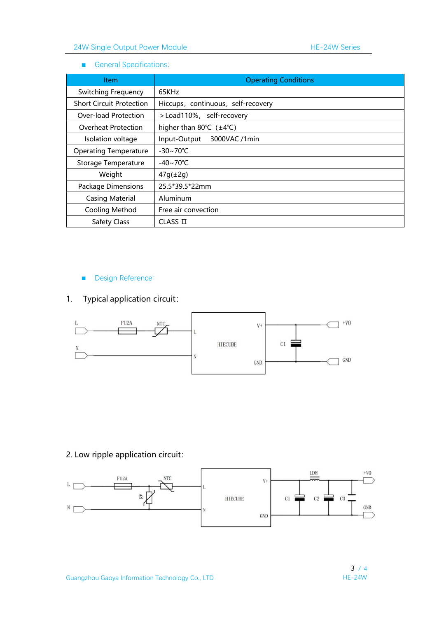#### ■ General Specifications:

| Item                            | <b>Operating Conditions</b>        |
|---------------------------------|------------------------------------|
| Switching Frequency             | 65KHz                              |
| <b>Short Circuit Protection</b> | Hiccups, continuous, self-recovery |
| Over-load Protection            | >Load110%, self-recovery           |
| Overheat Protection             | higher than 80 $°C$ ( $±4°C$ )     |
| Isolation voltage               | 3000VAC /1min<br>Input-Output      |
| <b>Operating Temperature</b>    | $-30 \sim 70^{\circ}$ C            |
| Storage Temperature             | $-40 \sim 70^{\circ}$ C            |
| Weight                          | $47g(\pm 2g)$                      |
| Package Dimensions              | 25.5*39.5*22mm                     |
| <b>Casing Material</b>          | Aluminum                           |
| Cooling Method                  | Free air convection                |
| Safety Class                    | CLASS II                           |

# ■ Design Reference:

# 1. Typical application circuit:



### 2. Low ripple application circuit:

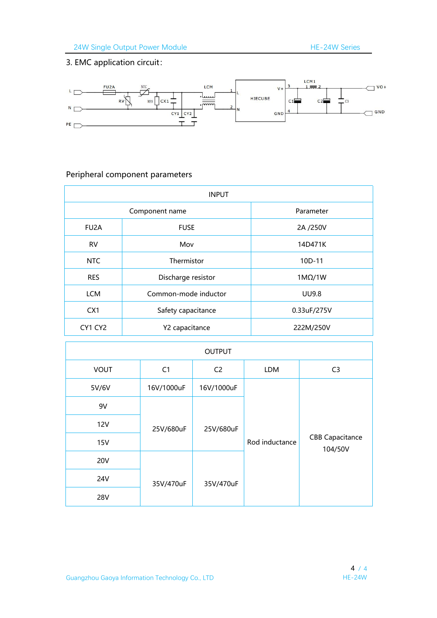# 3. EMC application circuit:



# Peripheral component parameters

| <b>INPUT</b>      |                      |               |  |  |
|-------------------|----------------------|---------------|--|--|
|                   | Parameter            |               |  |  |
| FU <sub>2</sub> A | <b>FUSE</b>          | 2A /250V      |  |  |
| <b>RV</b>         | Mov                  | 14D471K       |  |  |
| NTC               | Thermistor           | 10D-11        |  |  |
| <b>RES</b>        | Discharge resistor   | $1M\Omega/1W$ |  |  |
| <b>LCM</b>        | Common-mode inductor | <b>UU9.8</b>  |  |  |
| CX1               | Safety capacitance   | 0.33uF/275V   |  |  |
| CY1 CY2           | Y2 capacitance       | 222M/250V     |  |  |

| <b>OUTPUT</b> |            |                |                |                                   |
|---------------|------------|----------------|----------------|-----------------------------------|
| <b>VOUT</b>   | C1         | C <sub>2</sub> | LDM            | C <sub>3</sub>                    |
| 5V/6V         | 16V/1000uF | 16V/1000uF     |                |                                   |
| 9V            |            |                |                |                                   |
| <b>12V</b>    | 25V/680uF  | 25V/680uF      |                |                                   |
| <b>15V</b>    |            |                | Rod inductance | <b>CBB Capacitance</b><br>104/50V |
| <b>20V</b>    |            |                |                |                                   |
| <b>24V</b>    | 35V/470uF  | 35V/470uF      |                |                                   |
| <b>28V</b>    |            |                |                |                                   |